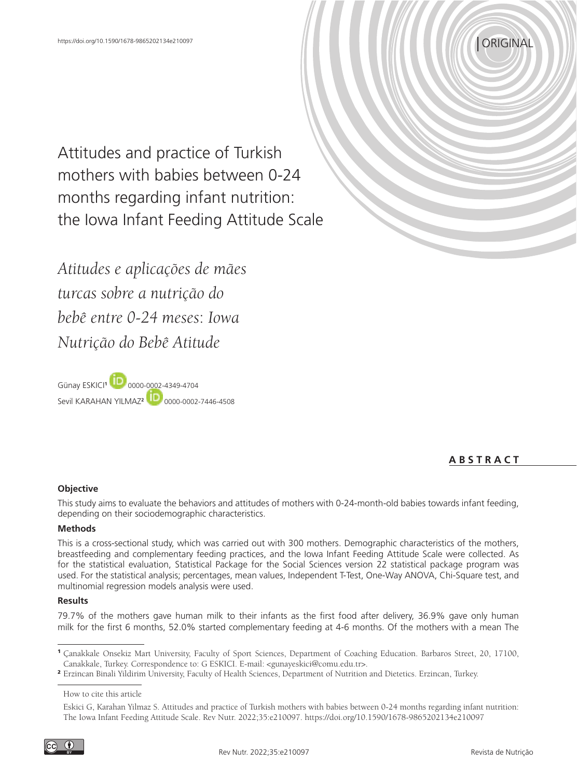

Attitudes and practice of Turkish mothers with babies between 0-24 months regarding infant nutrition: the Iowa Infant Feeding Attitude Scale

*Atitudes e aplicações de mães turcas sobre a nutrição do bebê entre 0-24 meses*: *Iowa Nutrição do Bebê Atitude*

Günay ESKICI**1**0000-0002-4349-4704 Sevil KARAHAN YILMAZ**<sup>2</sup>**  [0](https://orcid.org/0000-0002-7446-4508)000-0002-7446-4508

# **A B S T R A C T**

## **Objective**

This study aims to evaluate the behaviors and attitudes of mothers with 0-24-month-old babies towards infant feeding, depending on their sociodemographic characteristics.

### **Methods**

This is a cross-sectional study, which was carried out with 300 mothers. Demographic characteristics of the mothers, breastfeeding and complementary feeding practices, and the Iowa Infant Feeding Attitude Scale were collected. As for the statistical evaluation, Statistical Package for the Social Sciences version 22 statistical package program was used. For the statistical analysis; percentages, mean values, Independent T-Test, One-Way ANOVA, Chi-Square test, and multinomial regression models analysis were used.

### **Results**

79.7% of the mothers gave human milk to their infants as the first food after delivery, 36.9% gave only human milk for the first 6 months, 52.0% started complementary feeding at 4-6 months. Of the mothers with a mean The

How to cite this article

<sup>1</sup> Çanakkale Onsekiz Mart University, Faculty of Sport Sciences, Department of Coaching Education. Barbaros Street, 20, 17100, Canakkale, Turkey. Correspondence to: G ESKICI. E-mail: <gunayeskici@comu.edu.tr>.

<sup>2</sup> Erzincan Binali Yildirim University, Faculty of Health Sciences, Department of Nutrition and Dietetics. Erzincan, Turkey.

Eskici G, Karahan Yilmaz S. Attitudes and practice of Turkish mothers with babies between 0-24 months regarding infant nutrition: The Iowa Infant Feeding Attitude Scale. Rev Nutr. 2022;35:e210097. https://doi.org/10.1590/1678-9865202134e210097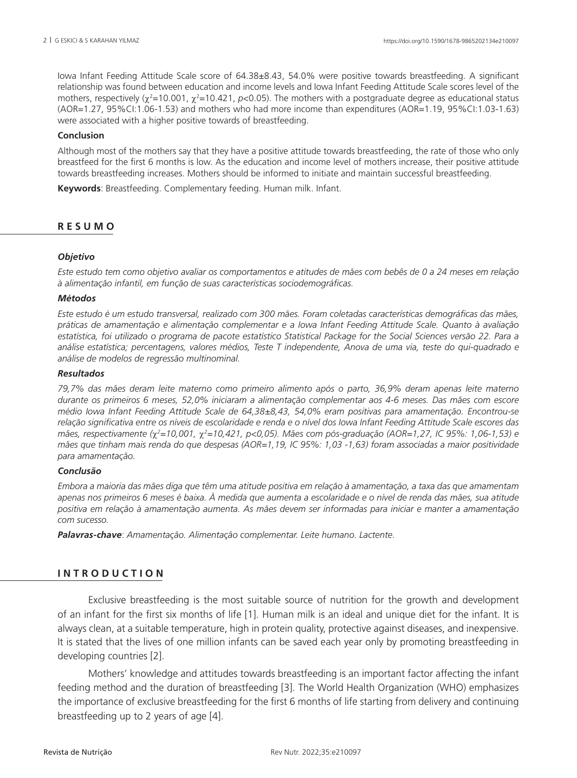Iowa Infant Feeding Attitude Scale score of 64.38±8.43, 54.0% were positive towards breastfeeding. A significant relationship was found between education and income levels and Iowa Infant Feeding Attitude Scale scores level of the mothers, respectively ( $\chi^2$ =10.001,  $\chi^2$ =10.421, *p*<0.05). The mothers with a postgraduate degree as educational status (AOR=1.27, 95%CI:1.06-1.53) and mothers who had more income than expenditures (AOR=1.19, 95%CI:1.03-1.63) were associated with a higher positive towards of breastfeeding.

## **Conclusion**

Although most of the mothers say that they have a positive attitude towards breastfeeding, the rate of those who only breastfeed for the first 6 months is low. As the education and income level of mothers increase, their positive attitude towards breastfeeding increases. Mothers should be informed to initiate and maintain successful breastfeeding.

**Keywords**: Breastfeeding. Complementary feeding. Human milk. Infant.

# **R E S U M O**

### *Objetivo*

*Este estudo tem como objetivo avaliar os comportamentos e atitudes de mães com bebês de 0 a 24 meses em relação à alimentação infantil, em função de suas características sociodemográficas.*

### *Métodos*

*Este estudo é um estudo transversal, realizado com 300 mães. Foram coletadas características demográficas das mães, práticas de amamentação e alimentação complementar e a Iowa Infant Feeding Attitude Scale. Quanto à avaliação estatística, foi utilizado o programa de pacote estatístico Statistical Package for the Social Sciences versão 22. Para a análise estatística; percentagens, valores médios, Teste T independente, Anova de uma via, teste do qui-quadrado e análise de modelos de regressão multinominal.*

### *Resultados*

*79,7% das mães deram leite materno como primeiro alimento após o parto, 36,9% deram apenas leite materno durante os primeiros 6 meses, 52,0% iniciaram a alimentação complementar aos 4-6 meses. Das mães com escore médio Iowa Infant Feeding Attitude Scale de 64,38±8,43, 54,0% eram positivas para amamentação. Encontrou-se relação significativa entre os níveis de escolaridade e renda e o nível dos Iowa Infant Feeding Attitude Scale escores das mães, respectivamente (*χ*<sup>2</sup> =10,001,* χ*<sup>2</sup> =10,421, p<0,05). Mães com pós-graduação (AOR=1,27, IC 95%: 1,06-1,53) e mães que tinham mais renda do que despesas (AOR=1,19, IC 95%: 1,03 -1,63) foram associadas a maior positividade para amamentação.*

## *Conclusão*

*Embora a maioria das mães diga que têm uma atitude positiva em relação à amamentação, a taxa das que amamentam apenas nos primeiros 6 meses é baixa. À medida que aumenta a escolaridade e o nível de renda das mães, sua atitude positiva em relação à amamentação aumenta. As mães devem ser informadas para iniciar e manter a amamentação com sucesso.*

*Palavras-chave*: *Amamentação. Alimentação complementar. Leite humano. Lactente.*

# **I N T R O D U C T I O N**

Exclusive breastfeeding is the most suitable source of nutrition for the growth and development of an infant for the first six months of life [1]. Human milk is an ideal and unique diet for the infant. It is always clean, at a suitable temperature, high in protein quality, protective against diseases, and inexpensive. It is stated that the lives of one million infants can be saved each year only by promoting breastfeeding in developing countries [2].

Mothers' knowledge and attitudes towards breastfeeding is an important factor affecting the infant feeding method and the duration of breastfeeding [3]. The World Health Organization (WHO) emphasizes the importance of exclusive breastfeeding for the first 6 months of life starting from delivery and continuing breastfeeding up to 2 years of age [4].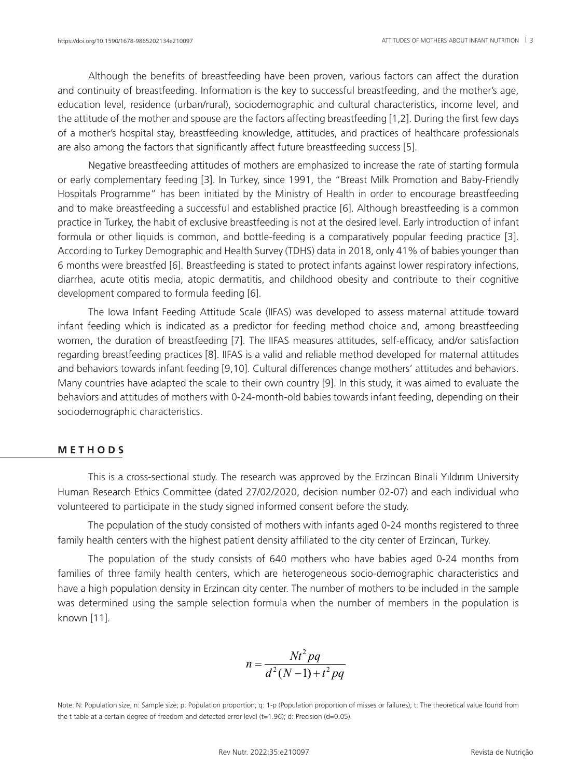Although the benefits of breastfeeding have been proven, various factors can affect the duration and continuity of breastfeeding. Information is the key to successful breastfeeding, and the mother's age, education level, residence (urban/rural), sociodemographic and cultural characteristics, income level, and the attitude of the mother and spouse are the factors affecting breastfeeding [1,2]. During the first few days of a mother's hospital stay, breastfeeding knowledge, attitudes, and practices of healthcare professionals are also among the factors that significantly affect future breastfeeding success [5].

Negative breastfeeding attitudes of mothers are emphasized to increase the rate of starting formula or early complementary feeding [3]. In Turkey, since 1991, the "Breast Milk Promotion and Baby-Friendly Hospitals Programme" has been initiated by the Ministry of Health in order to encourage breastfeeding and to make breastfeeding a successful and established practice [6]. Although breastfeeding is a common practice in Turkey, the habit of exclusive breastfeeding is not at the desired level. Early introduction of infant formula or other liquids is common, and bottle-feeding is a comparatively popular feeding practice [3]. According to Turkey Demographic and Health Survey (TDHS) data in 2018, only 41% of babies younger than 6 months were breastfed [6]. Breastfeeding is stated to protect infants against lower respiratory infections, diarrhea, acute otitis media, atopic dermatitis, and childhood obesity and contribute to their cognitive development compared to formula feeding [6].

The Iowa Infant Feeding Attitude Scale (IIFAS) was developed to assess maternal attitude toward infant feeding which is indicated as a predictor for feeding method choice and, among breastfeeding women, the duration of breastfeeding [7]. The IIFAS measures attitudes, self-efficacy, and/or satisfaction regarding breastfeeding practices [8]. IIFAS is a valid and reliable method developed for maternal attitudes and behaviors towards infant feeding [9,10]. Cultural differences change mothers' attitudes and behaviors. Many countries have adapted the scale to their own country [9]. In this study, it was aimed to evaluate the behaviors and attitudes of mothers with 0-24-month-old babies towards infant feeding, depending on their sociodemographic characteristics.

## **M E T H O D S**

This is a cross-sectional study. The research was approved by the Erzincan Binali Yıldırım University Human Research Ethics Committee (dated 27/02/2020, decision number 02-07) and each individual who volunteered to participate in the study signed informed consent before the study.

The population of the study consisted of mothers with infants aged 0-24 months registered to three family health centers with the highest patient density affiliated to the city center of Erzincan, Turkey.

The population of the study consists of 640 mothers who have babies aged 0-24 months from families of three family health centers, which are heterogeneous socio-demographic characteristics and have a high population density in Erzincan city center. The number of mothers to be included in the sample was determined using the sample selection formula when the number of members in the population is known [11].

$$
n = \frac{Nt^2pq}{d^2(N-1) + t^2pq}
$$

Note: N: Population size; n: Sample size; p: Population proportion; q: 1-p (Population proportion of misses or failures); t: The theoretical value found from the t table at a certain degree of freedom and detected error level  $(t=1.96)$ ; d: Precision (d=0.05).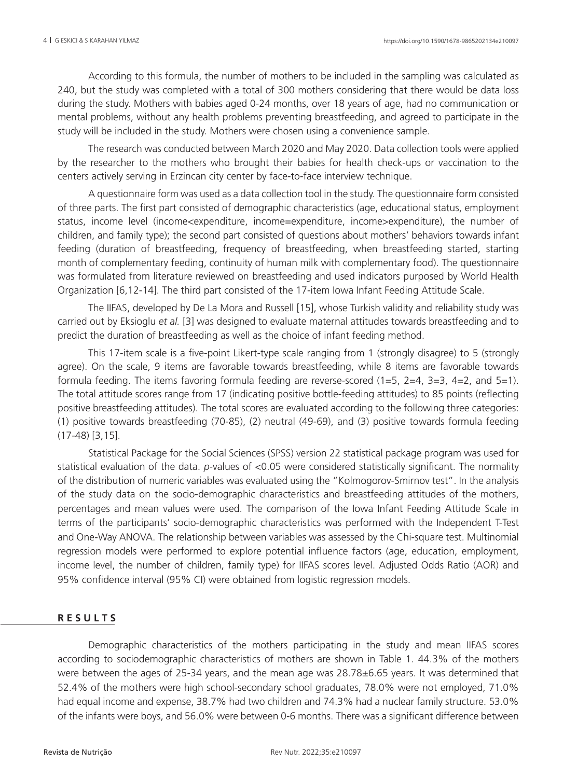According to this formula, the number of mothers to be included in the sampling was calculated as 240, but the study was completed with a total of 300 mothers considering that there would be data loss during the study. Mothers with babies aged 0-24 months, over 18 years of age, had no communication or mental problems, without any health problems preventing breastfeeding, and agreed to participate in the study will be included in the study. Mothers were chosen using a convenience sample.

The research was conducted between March 2020 and May 2020. Data collection tools were applied by the researcher to the mothers who brought their babies for health check-ups or vaccination to the centers actively serving in Erzincan city center by face-to-face interview technique.

A questionnaire form was used as a data collection tool in the study. The questionnaire form consisted of three parts. The first part consisted of demographic characteristics (age, educational status, employment status, income level (income<expenditure, income=expenditure, income>expenditure), the number of children, and family type); the second part consisted of questions about mothers' behaviors towards infant feeding (duration of breastfeeding, frequency of breastfeeding, when breastfeeding started, starting month of complementary feeding, continuity of human milk with complementary food). The questionnaire was formulated from literature reviewed on breastfeeding and used indicators purposed by World Health Organization [6,12-14]. The third part consisted of the 17-item Iowa Infant Feeding Attitude Scale.

The IIFAS, developed by De La Mora and Russell [15], whose Turkish validity and reliability study was carried out by Eksioglu *et al.* [3] was designed to evaluate maternal attitudes towards breastfeeding and to predict the duration of breastfeeding as well as the choice of infant feeding method.

This 17-item scale is a five-point Likert-type scale ranging from 1 (strongly disagree) to 5 (strongly agree). On the scale, 9 items are favorable towards breastfeeding, while 8 items are favorable towards formula feeding. The items favoring formula feeding are reverse-scored  $(1=5, 2=4, 3=3, 4=2,$  and  $5=1$ ). The total attitude scores range from 17 (indicating positive bottle-feeding attitudes) to 85 points (reflecting positive breastfeeding attitudes). The total scores are evaluated according to the following three categories: (1) positive towards breastfeeding (70-85), (2) neutral (49-69), and (3) positive towards formula feeding (17-48) [3,15].

Statistical Package for the Social Sciences (SPSS) version 22 statistical package program was used for statistical evaluation of the data. *p*-values of <0.05 were considered statistically significant. The normality of the distribution of numeric variables was evaluated using the "Kolmogorov-Smirnov test". In the analysis of the study data on the socio-demographic characteristics and breastfeeding attitudes of the mothers, percentages and mean values were used. The comparison of the Iowa Infant Feeding Attitude Scale in terms of the participants' socio-demographic characteristics was performed with the Independent T-Test and One-Way ANOVA. The relationship between variables was assessed by the Chi-square test. Multinomial regression models were performed to explore potential influence factors (age, education, employment, income level, the number of children, family type) for IIFAS scores level. Adjusted Odds Ratio (AOR) and 95% confidence interval (95% CI) were obtained from logistic regression models.

# **R E S U L T S**

Demographic characteristics of the mothers participating in the study and mean IIFAS scores according to sociodemographic characteristics of mothers are shown in Table 1. 44.3% of the mothers were between the ages of 25-34 years, and the mean age was 28.78±6.65 years. It was determined that 52.4% of the mothers were high school-secondary school graduates, 78.0% were not employed, 71.0% had equal income and expense, 38.7% had two children and 74.3% had a nuclear family structure. 53.0% of the infants were boys, and 56.0% were between 0-6 months. There was a significant difference between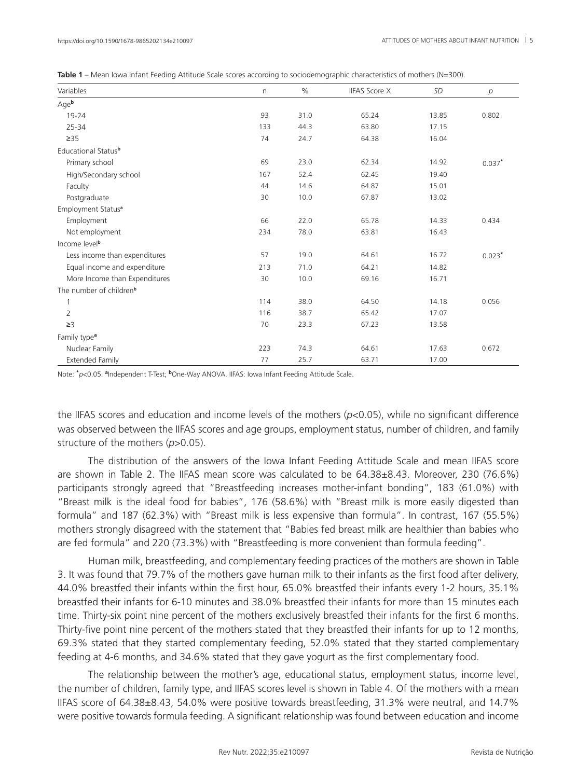|  | Table $1$ – Mean lowa Infant Feeding Attitude Scale scores according to sociodemographic characteristics of mothers (N=300). |  |  |  |  |
|--|------------------------------------------------------------------------------------------------------------------------------|--|--|--|--|
|--|------------------------------------------------------------------------------------------------------------------------------|--|--|--|--|

| Variables                           | n   | $\%$ | <b>IIFAS Score X</b> | SD    | $\overline{p}$ |
|-------------------------------------|-----|------|----------------------|-------|----------------|
| Ageb                                |     |      |                      |       |                |
| 19-24                               | 93  | 31.0 | 65.24                | 13.85 | 0.802          |
| 25-34                               | 133 | 44.3 | 63.80                | 17.15 |                |
| $\geq$ 35                           | 74  | 24.7 | 64.38                | 16.04 |                |
| Educational Statusb                 |     |      |                      |       |                |
| Primary school                      | 69  | 23.0 | 62.34                | 14.92 | $0.037*$       |
| High/Secondary school               | 167 | 52.4 | 62.45                | 19.40 |                |
| Faculty                             | 44  | 14.6 | 64.87                | 15.01 |                |
| Postgraduate                        | 30  | 10.0 | 67.87                | 13.02 |                |
| Employment Status <sup>a</sup>      |     |      |                      |       |                |
| Employment                          | 66  | 22.0 | 65.78                | 14.33 | 0.434          |
| Not employment                      | 234 | 78.0 | 63.81                | 16.43 |                |
| Income level <sup>b</sup>           |     |      |                      |       |                |
| Less income than expenditures       | 57  | 19.0 | 64.61                | 16.72 | $0.023*$       |
| Equal income and expenditure        | 213 | 71.0 | 64.21                | 14.82 |                |
| More Income than Expenditures       | 30  | 10.0 | 69.16                | 16.71 |                |
| The number of children <sup>b</sup> |     |      |                      |       |                |
|                                     | 114 | 38.0 | 64.50                | 14.18 | 0.056          |
| $\overline{2}$                      | 116 | 38.7 | 65.42                | 17.07 |                |
| $\geq$ 3                            | 70  | 23.3 | 67.23                | 13.58 |                |
| Family type <sup>a</sup>            |     |      |                      |       |                |
| Nuclear Family                      | 223 | 74.3 | 64.61                | 17.63 | 0.672          |
| <b>Extended Family</b>              | 77  | 25.7 | 63.71                | 17.00 |                |

Note: **\*** *p*<0.05. **<sup>a</sup>** Independent T-Test; **b**One-Way ANOVA. IIFAS: Iowa Infant Feeding Attitude Scale.

the IIFAS scores and education and income levels of the mothers (*p*<0.05), while no significant difference was observed between the IIFAS scores and age groups, employment status, number of children, and family structure of the mothers ( $p > 0.05$ ).

The distribution of the answers of the Iowa Infant Feeding Attitude Scale and mean IIFAS score are shown in Table 2. The IIFAS mean score was calculated to be 64.38±8.43. Moreover, 230 (76.6%) participants strongly agreed that "Breastfeeding increases mother-infant bonding", 183 (61.0%) with "Breast milk is the ideal food for babies", 176 (58.6%) with "Breast milk is more easily digested than formula" and 187 (62.3%) with "Breast milk is less expensive than formula". In contrast, 167 (55.5%) mothers strongly disagreed with the statement that "Babies fed breast milk are healthier than babies who are fed formula" and 220 (73.3%) with "Breastfeeding is more convenient than formula feeding".

Human milk, breastfeeding, and complementary feeding practices of the mothers are shown in Table 3. It was found that 79.7% of the mothers gave human milk to their infants as the first food after delivery, 44.0% breastfed their infants within the first hour, 65.0% breastfed their infants every 1-2 hours, 35.1% breastfed their infants for 6-10 minutes and 38.0% breastfed their infants for more than 15 minutes each time. Thirty-six point nine percent of the mothers exclusively breastfed their infants for the first 6 months. Thirty-five point nine percent of the mothers stated that they breastfed their infants for up to 12 months, 69.3% stated that they started complementary feeding, 52.0% stated that they started complementary feeding at 4-6 months, and 34.6% stated that they gave yogurt as the first complementary food.

The relationship between the mother's age, educational status, employment status, income level, the number of children, family type, and IIFAS scores level is shown in Table 4. Of the mothers with a mean IIFAS score of 64.38±8.43, 54.0% were positive towards breastfeeding, 31.3% were neutral, and 14.7% were positive towards formula feeding. A significant relationship was found between education and income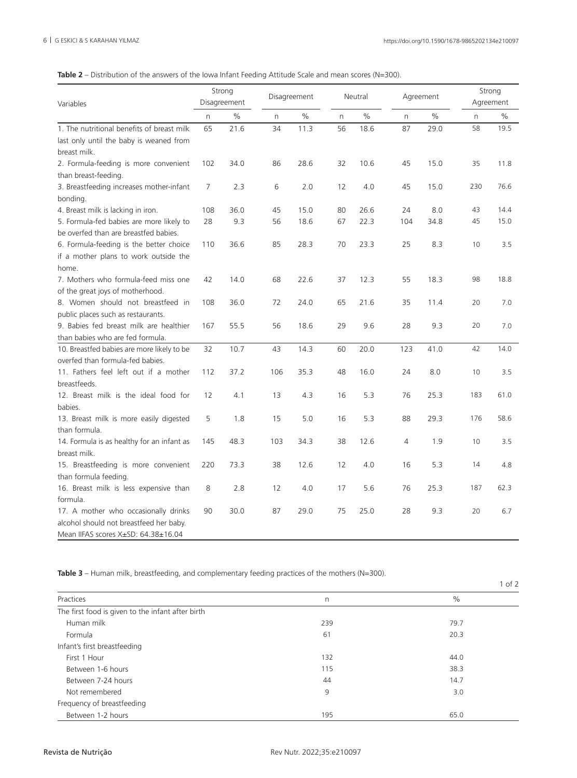## **Table 2** – Distribution of the answers of the Iowa Infant Feeding Attitude Scale and mean scores (N=300).

| Variables                                  | Strong<br>Disagreement |      | Disagreement |      |              | Neutral |     | Agreement |     | Strong<br>Agreement |  |
|--------------------------------------------|------------------------|------|--------------|------|--------------|---------|-----|-----------|-----|---------------------|--|
|                                            | n                      | $\%$ | n            | $\%$ | $\mathsf{n}$ | $\%$    | n   | $\%$      | n   | $\%$                |  |
| 1. The nutritional benefits of breast milk | 65                     | 21.6 | 34           | 11.3 | 56           | 18.6    | 87  | 29.0      | 58  | 19.5                |  |
| last only until the baby is weaned from    |                        |      |              |      |              |         |     |           |     |                     |  |
| breast milk.                               |                        |      |              |      |              |         |     |           |     |                     |  |
| 2. Formula-feeding is more convenient      | 102                    | 34.0 | 86           | 28.6 | 32           | 10.6    | 45  | 15.0      | 35  | 11.8                |  |
| than breast-feeding.                       |                        |      |              |      |              |         |     |           |     |                     |  |
| 3. Breastfeeding increases mother-infant   | 7                      | 2.3  | 6            | 2.0  | 12           | 4.0     | 45  | 15.0      | 230 | 76.6                |  |
| bonding.                                   |                        |      |              |      |              |         |     |           |     |                     |  |
| 4. Breast milk is lacking in iron.         | 108                    | 36.0 | 45           | 15.0 | 80           | 26.6    | 24  | 8.0       | 43  | 14.4                |  |
| 5. Formula-fed babies are more likely to   | 28                     | 9.3  | 56           | 18.6 | 67           | 22.3    | 104 | 34.8      | 45  | 15.0                |  |
| be overfed than are breastfed babies.      |                        |      |              |      |              |         |     |           |     |                     |  |
| 6. Formula-feeding is the better choice    | 110                    | 36.6 | 85           | 28.3 | 70           | 23.3    | 25  | 8.3       | 10  | 3.5                 |  |
| if a mother plans to work outside the      |                        |      |              |      |              |         |     |           |     |                     |  |
| home.                                      |                        |      |              |      |              |         |     |           |     |                     |  |
| 7. Mothers who formula-feed miss one       | 42                     | 14.0 | 68           | 22.6 | 37           | 12.3    | 55  | 18.3      | 98  | 18.8                |  |
| of the great joys of motherhood.           |                        |      |              |      |              |         |     |           |     |                     |  |
| 8. Women should not breastfeed in          | 108                    | 36.0 | 72           | 24.0 | 65           | 21.6    | 35  | 11.4      | 20  | 7.0                 |  |
| public places such as restaurants.         |                        |      |              |      |              |         |     |           |     |                     |  |
| 9. Babies fed breast milk are healthier    | 167                    | 55.5 | 56           | 18.6 | 29           | 9.6     | 28  | 9.3       | 20  | 7.0                 |  |
| than babies who are fed formula.           |                        |      |              |      |              |         |     |           |     |                     |  |
| 10. Breastfed babies are more likely to be | 32                     | 10.7 | 43           | 14.3 | 60           | 20.0    | 123 | 41.0      | 42  | 14.0                |  |
| overfed than formula-fed babies.           |                        |      |              |      |              |         |     |           |     |                     |  |
| 11. Fathers feel left out if a mother      | 112                    | 37.2 | 106          | 35.3 | 48           | 16.0    | 24  | 8.0       | 10  | 3.5                 |  |
| breastfeeds.                               |                        |      |              |      |              |         |     |           |     |                     |  |
| 12. Breast milk is the ideal food for      | 12                     | 4.1  | 13           | 4.3  | 16           | 5.3     | 76  | 25.3      | 183 | 61.0                |  |
| babies.                                    |                        |      |              |      |              |         |     |           |     |                     |  |
| 13. Breast milk is more easily digested    | 5                      | 1.8  | 15           | 5.0  | 16           | 5.3     | 88  | 29.3      | 176 | 58.6                |  |
| than formula.                              |                        |      |              |      |              |         |     |           |     |                     |  |
| 14. Formula is as healthy for an infant as | 145                    | 48.3 | 103          | 34.3 | 38           | 12.6    | 4   | 1.9       | 10  | 3.5                 |  |
| breast milk.                               |                        |      |              |      |              |         |     |           |     |                     |  |
| 15. Breastfeeding is more convenient       | 220                    | 73.3 | 38           | 12.6 | 12           | 4.0     | 16  | 5.3       | 14  | 4.8                 |  |
| than formula feeding.                      |                        |      |              |      |              |         |     |           |     |                     |  |
| 16. Breast milk is less expensive than     | 8                      | 2.8  | 12           | 4.0  | 17           | 5.6     | 76  | 25.3      | 187 | 62.3                |  |
| formula.                                   |                        |      |              |      |              |         |     |           |     |                     |  |
| 17. A mother who occasionally drinks       | 90                     | 30.0 | 87           | 29.0 | 75           | 25.0    | 28  | 9.3       | 20  | 6.7                 |  |
| alcohol should not breastfeed her baby.    |                        |      |              |      |              |         |     |           |     |                     |  |
| Mean IIFAS scores X±SD: 64.38±16.04        |                        |      |              |      |              |         |     |           |     |                     |  |

Table 3 – Human milk, breastfeeding, and complementary feeding practices of the mothers (N=300).

|                                                   |     | $1$ of $2$ |
|---------------------------------------------------|-----|------------|
| Practices                                         | n   | $\%$       |
| The first food is given to the infant after birth |     |            |
| Human milk                                        | 239 | 79.7       |
| Formula                                           | 61  | 20.3       |
| Infant's first breastfeeding                      |     |            |
| First 1 Hour                                      | 132 | 44.0       |
| Between 1-6 hours                                 | 115 | 38.3       |
| Between 7-24 hours                                | 44  | 14.7       |
| Not remembered                                    | 9   | 3.0        |
| Frequency of breastfeeding                        |     |            |
| Between 1-2 hours                                 | 195 | 65.0       |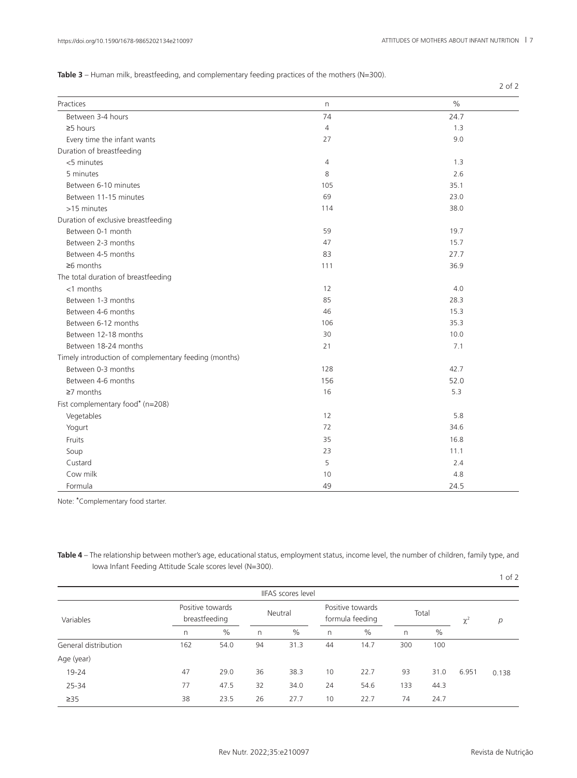2 of 2

|  |  | <b>Table 3</b> – Human milk, breastfeeding, and complementary feeding practices of the mothers (N=300). |
|--|--|---------------------------------------------------------------------------------------------------------|
|  |  |                                                                                                         |

| Practices                                             | n              | $\frac{0}{0}$ |
|-------------------------------------------------------|----------------|---------------|
| Between 3-4 hours                                     | 74             | 24.7          |
| $\geq$ 5 hours                                        | $\overline{4}$ | 1.3           |
| Every time the infant wants                           | 27             | 9.0           |
| Duration of breastfeeding                             |                |               |
| <5 minutes                                            | $\overline{4}$ | 1.3           |
| 5 minutes                                             | 8              | 2.6           |
| Between 6-10 minutes                                  | 105            | 35.1          |
| Between 11-15 minutes                                 | 69             | 23.0          |
| >15 minutes                                           | 114            | 38.0          |
| Duration of exclusive breastfeeding                   |                |               |
| Between 0-1 month                                     | 59             | 19.7          |
| Between 2-3 months                                    | 47             | 15.7          |
| Between 4-5 months                                    | 83             | 27.7          |
| $\geq 6$ months                                       | 111            | 36.9          |
| The total duration of breastfeeding                   |                |               |
| $<$ 1 months                                          | 12             | 4.0           |
| Between 1-3 months                                    | 85             | 28.3          |
| Between 4-6 months                                    | 46             | 15.3          |
| Between 6-12 months                                   | 106            | 35.3          |
| Between 12-18 months                                  | 30             | 10.0          |
| Between 18-24 months                                  | 21             | 7.1           |
| Timely introduction of complementary feeding (months) |                |               |
| Between 0-3 months                                    | 128            | 42.7          |
| Between 4-6 months                                    | 156            | 52.0          |
| $\geq$ 7 months                                       | 16             | 5.3           |
| Fist complementary food* (n=208)                      |                |               |
| Vegetables                                            | 12             | 5.8           |
| Yogurt                                                | 72             | 34.6          |
| Fruits                                                | 35             | 16.8          |
| Soup                                                  | 23             | 11.1          |
| Custard                                               | 5              | 2.4           |
| Cow milk                                              | 10             | 4.8           |
| Formula                                               | 49             | 24.5          |

Note: **\*** Complementary food starter.

**Table 4** – The relationship between mother's age, educational status, employment status, income level, the number of children, family type, and Iowa Infant Feeding Attitude Scale scores level (N=300).

|                      |                  |               |         |                           |                                     |      |       |      |          | $1$ of $2$ |
|----------------------|------------------|---------------|---------|---------------------------|-------------------------------------|------|-------|------|----------|------------|
|                      |                  |               |         | <b>IIFAS</b> scores level |                                     |      |       |      |          |            |
| Variables            | Positive towards | breastfeeding | Neutral |                           | Positive towards<br>formula feeding |      | Total |      | $\chi^2$ | p          |
|                      | n                | $\%$          | n       | $\%$                      | n                                   | $\%$ | n     | $\%$ |          |            |
| General distribution | 162              | 54.0          | 94      | 31.3                      | 44                                  | 14.7 | 300   | 100  |          |            |
| Age (year)           |                  |               |         |                           |                                     |      |       |      |          |            |
| 19-24                | 47               | 29.0          | 36      | 38.3                      | 10                                  | 22.7 | 93    | 31.0 | 6.951    | 0.138      |
| 25-34                | 77               | 47.5          | 32      | 34.0                      | 24                                  | 54.6 | 133   | 44.3 |          |            |
| $\geq$ 35            | 38               | 23.5          | 26      | 27.7                      | 10                                  | 22.7 | 74    | 24.7 |          |            |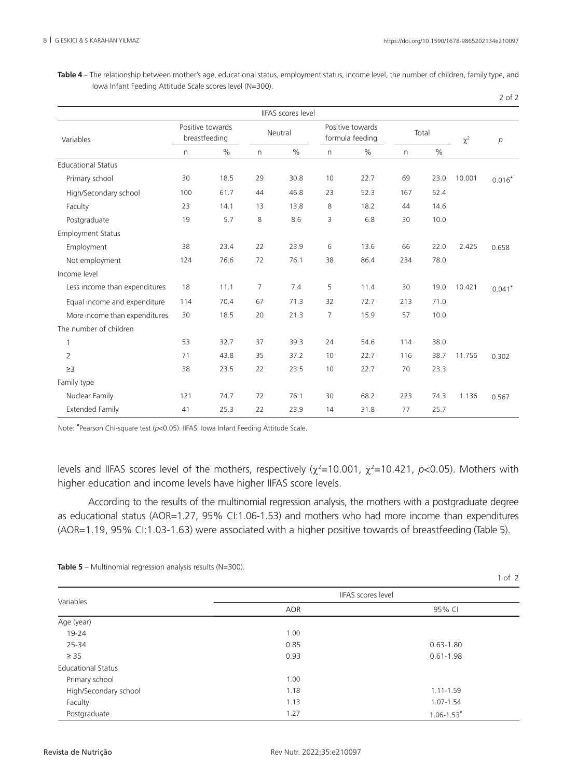**Table 4** – The relationship between mother's age, educational status, employment status, income level, the number of children, family type, and Iowa Infant Feeding Attitude Scale scores level (N=300).

| I<br>$\sim$ |  |
|-------------|--|
|             |  |

1 of 2

|                               |                                   |      |         | <b>IIFAS</b> scores level |                                     |      |       |      |          |                |
|-------------------------------|-----------------------------------|------|---------|---------------------------|-------------------------------------|------|-------|------|----------|----------------|
| Variables                     | Positive towards<br>breastfeeding |      | Neutral |                           | Positive towards<br>formula feeding |      | Total |      | $\chi^2$ | $\overline{p}$ |
|                               | n.                                | $\%$ | n       | $\frac{0}{0}$             | $\mathsf{n}$                        | $\%$ | n     | $\%$ |          |                |
| <b>Educational Status</b>     |                                   |      |         |                           |                                     |      |       |      |          |                |
| Primary school                | 30                                | 18.5 | 29      | 30.8                      | 10                                  | 22.7 | 69    | 23.0 | 10.001   | $0.016*$       |
| High/Secondary school         | 100                               | 61.7 | 44      | 46.8                      | 23                                  | 52.3 | 167   | 52.4 |          |                |
| Faculty                       | 23                                | 14.1 | 13      | 13.8                      | 8                                   | 18.2 | 44    | 14.6 |          |                |
| Postgraduate                  | 19                                | 5.7  | 8       | 8.6                       | 3                                   | 6.8  | 30    | 10.0 |          |                |
| <b>Employment Status</b>      |                                   |      |         |                           |                                     |      |       |      |          |                |
| Employment                    | 38                                | 23.4 | 22      | 23.9                      | 6                                   | 13.6 | 66    | 22.0 | 2.425    | 0.658          |
| Not employment                | 124                               | 76.6 | 72      | 76.1                      | 38                                  | 86.4 | 234   | 78.0 |          |                |
| Income level                  |                                   |      |         |                           |                                     |      |       |      |          |                |
| Less income than expenditures | 18                                | 11.1 | 7       | 7.4                       | 5                                   | 11.4 | 30    | 19.0 | 10.421   | $0.041*$       |
| Equal income and expenditure  | 114                               | 70.4 | 67      | 71.3                      | 32                                  | 72.7 | 213   | 71.0 |          |                |
| More income than expenditures | 30                                | 18.5 | 20      | 21.3                      | 7                                   | 15.9 | 57    | 10.0 |          |                |
| The number of children        |                                   |      |         |                           |                                     |      |       |      |          |                |
| $\mathbf{1}$                  | 53                                | 32.7 | 37      | 39.3                      | 24                                  | 54.6 | 114   | 38.0 |          |                |
| $\overline{2}$                | 71                                | 43.8 | 35      | 37.2                      | 10                                  | 22.7 | 116   | 38.7 | 11.756   | 0.302          |
| $\geq$ 3                      | 38                                | 23.5 | 22      | 23.5                      | 10                                  | 22.7 | 70    | 23.3 |          |                |
| Family type                   |                                   |      |         |                           |                                     |      |       |      |          |                |
| Nuclear Family                | 121                               | 74.7 | 72      | 76.1                      | 30                                  | 68.2 | 223   | 74.3 | 1.136    | 0.567          |
| <b>Extended Family</b>        | 41                                | 25.3 | 22      | 23.9                      | 14                                  | 31.8 | 77    | 25.7 |          |                |

Note: **\*** Pearson Chi-square test (*p*<0.05). IIFAS: Iowa Infant Feeding Attitude Scale.

levels and IIFAS scores level of the mothers, respectively ( $\chi^2$ =10.001,  $\chi^2$ =10.421, *p*<0.05). Mothers with higher education and income levels have higher IIFAS score levels.

According to the results of the multinomial regression analysis, the mothers with a postgraduate degree as educational status (AOR=1.27, 95% CI:1.06-1.53) and mothers who had more income than expenditures (AOR=1.19, 95% CI:1.03-1.63) were associated with a higher positive towards of breastfeeding (Table 5).

| Variables                 | IIFAS scores level |                            |  |  |  |  |
|---------------------------|--------------------|----------------------------|--|--|--|--|
|                           | <b>AOR</b>         | 95% CI                     |  |  |  |  |
| Age (year)                |                    |                            |  |  |  |  |
| 19-24                     | 1.00               |                            |  |  |  |  |
| 25-34                     | 0.85               | $0.63 - 1.80$              |  |  |  |  |
| $\geq$ 35                 | 0.93               | $0.61 - 1.98$              |  |  |  |  |
| <b>Educational Status</b> |                    |                            |  |  |  |  |
| Primary school            | 1.00               |                            |  |  |  |  |
| High/Secondary school     | 1.18               | $1.11 - 1.59$              |  |  |  |  |
| Faculty                   | 1.13               | 1.07-1.54                  |  |  |  |  |
| Postgraduate              | 1.27               | $1.06 - 1.53$ <sup>*</sup> |  |  |  |  |

**Table 5** – Multinomial regression analysis results (N=300).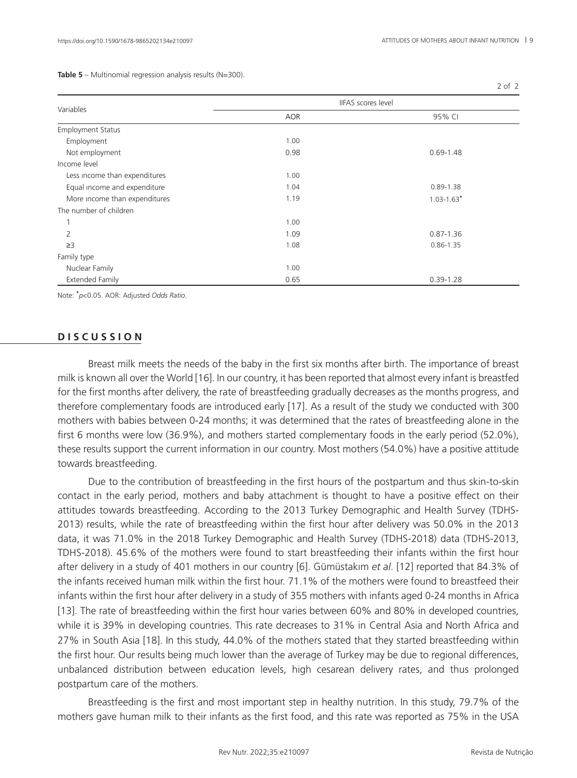2 of 2

**Table 5** – Multinomial regression analysis results (N=300).

| Variables                     | IIFAS scores level |                |  |  |  |
|-------------------------------|--------------------|----------------|--|--|--|
|                               | AOR                | 95% CI         |  |  |  |
| <b>Employment Status</b>      |                    |                |  |  |  |
| Employment                    | 1.00               |                |  |  |  |
| Not employment                | 0.98               | $0.69 - 1.48$  |  |  |  |
| Income level                  |                    |                |  |  |  |
| Less income than expenditures | 1.00               |                |  |  |  |
| Equal income and expenditure  | 1.04               | $0.89 - 1.38$  |  |  |  |
| More income than expenditures | 1.19               | $1.03 - 1.63*$ |  |  |  |
| The number of children        |                    |                |  |  |  |
|                               | 1.00               |                |  |  |  |
| 2                             | 1.09               | $0.87 - 1.36$  |  |  |  |
| $\geq$ 3                      | 1.08               | $0.86 - 1.35$  |  |  |  |
| Family type                   |                    |                |  |  |  |
| Nuclear Family                | 1.00               |                |  |  |  |
| <b>Extended Family</b>        | 0.65               | $0.39 - 1.28$  |  |  |  |

Note: **\*** *p*<0.05. AOR: Adjusted *Odds Ratio*.

### **D I S C U S S I O N**

Breast milk meets the needs of the baby in the first six months after birth. The importance of breast milk is known all over the World [16]. In our country, it has been reported that almost every infant is breastfed for the first months after delivery, the rate of breastfeeding gradually decreases as the months progress, and therefore complementary foods are introduced early [17]. As a result of the study we conducted with 300 mothers with babies between 0-24 months; it was determined that the rates of breastfeeding alone in the first 6 months were low (36.9%), and mothers started complementary foods in the early period (52.0%), these results support the current information in our country. Most mothers (54.0%) have a positive attitude towards breastfeeding.

Due to the contribution of breastfeeding in the first hours of the postpartum and thus skin-to-skin contact in the early period, mothers and baby attachment is thought to have a positive effect on their attitudes towards breastfeeding. According to the 2013 Turkey Demographic and Health Survey (TDHS-2013) results, while the rate of breastfeeding within the first hour after delivery was 50.0% in the 2013 data, it was 71.0% in the 2018 Turkey Demographic and Health Survey (TDHS-2018) data (TDHS-2013, TDHS-2018). 45.6% of the mothers were found to start breastfeeding their infants within the first hour after delivery in a study of 401 mothers in our country [6]. Gümüstakım *et al*. [12] reported that 84.3% of the infants received human milk within the first hour. 71.1% of the mothers were found to breastfeed their infants within the first hour after delivery in a study of 355 mothers with infants aged 0-24 months in Africa [13]. The rate of breastfeeding within the first hour varies between 60% and 80% in developed countries, while it is 39% in developing countries. This rate decreases to 31% in Central Asia and North Africa and 27% in South Asia [18]. In this study, 44.0% of the mothers stated that they started breastfeeding within the first hour. Our results being much lower than the average of Turkey may be due to regional differences, unbalanced distribution between education levels, high cesarean delivery rates, and thus prolonged postpartum care of the mothers.

Breastfeeding is the first and most important step in healthy nutrition. In this study, 79.7% of the mothers gave human milk to their infants as the first food, and this rate was reported as 75% in the USA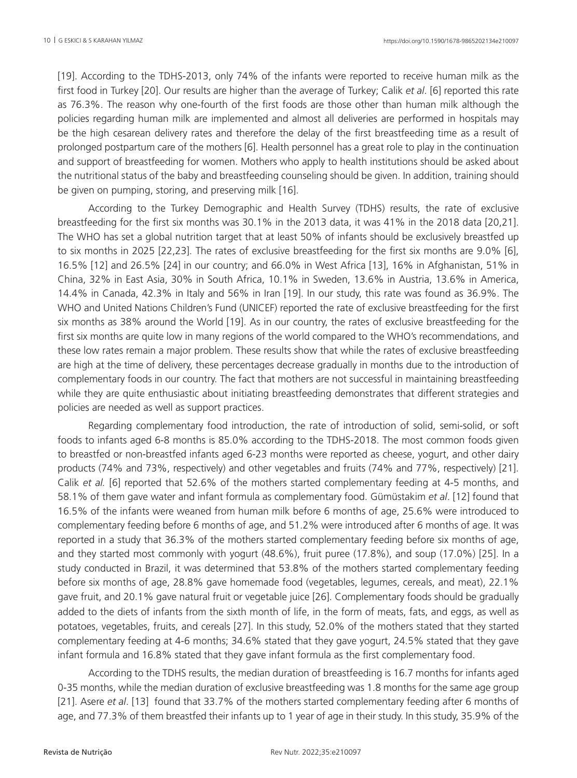[19]. According to the TDHS-2013, only 74% of the infants were reported to receive human milk as the first food in Turkey [20]. Our results are higher than the average of Turkey; Calik *et al*. [6] reported this rate as 76.3%. The reason why one-fourth of the first foods are those other than human milk although the policies regarding human milk are implemented and almost all deliveries are performed in hospitals may be the high cesarean delivery rates and therefore the delay of the first breastfeeding time as a result of prolonged postpartum care of the mothers [6]. Health personnel has a great role to play in the continuation and support of breastfeeding for women. Mothers who apply to health institutions should be asked about the nutritional status of the baby and breastfeeding counseling should be given. In addition, training should be given on pumping, storing, and preserving milk [16].

According to the Turkey Demographic and Health Survey (TDHS) results, the rate of exclusive breastfeeding for the first six months was 30.1% in the 2013 data, it was 41% in the 2018 data [20,21]. The WHO has set a global nutrition target that at least 50% of infants should be exclusively breastfed up to six months in 2025 [22,23]. The rates of exclusive breastfeeding for the first six months are 9.0% [6], 16.5% [12] and 26.5% [24] in our country; and 66.0% in West Africa [13], 16% in Afghanistan, 51% in China, 32% in East Asia, 30% in South Africa, 10.1% in Sweden, 13.6% in Austria, 13.6% in America, 14.4% in Canada, 42.3% in Italy and 56% in Iran [19]. In our study, this rate was found as 36.9%. The WHO and United Nations Children's Fund (UNICEF) reported the rate of exclusive breastfeeding for the first six months as 38% around the World [19]. As in our country, the rates of exclusive breastfeeding for the first six months are quite low in many regions of the world compared to the WHO's recommendations, and these low rates remain a major problem. These results show that while the rates of exclusive breastfeeding are high at the time of delivery, these percentages decrease gradually in months due to the introduction of complementary foods in our country. The fact that mothers are not successful in maintaining breastfeeding while they are quite enthusiastic about initiating breastfeeding demonstrates that different strategies and policies are needed as well as support practices.

Regarding complementary food introduction, the rate of introduction of solid, semi-solid, or soft foods to infants aged 6-8 months is 85.0% according to the TDHS-2018. The most common foods given to breastfed or non-breastfed infants aged 6-23 months were reported as cheese, yogurt, and other dairy products (74% and 73%, respectively) and other vegetables and fruits (74% and 77%, respectively) [21]. Calik *et al.* [6] reported that 52.6% of the mothers started complementary feeding at 4-5 months, and 58.1% of them gave water and infant formula as complementary food. Gümüstakim *et al*. [12] found that 16.5% of the infants were weaned from human milk before 6 months of age, 25.6% were introduced to complementary feeding before 6 months of age, and 51.2% were introduced after 6 months of age. It was reported in a study that 36.3% of the mothers started complementary feeding before six months of age, and they started most commonly with yogurt (48.6%), fruit puree (17.8%), and soup (17.0%) [25]. In a study conducted in Brazil, it was determined that 53.8% of the mothers started complementary feeding before six months of age, 28.8% gave homemade food (vegetables, legumes, cereals, and meat), 22.1% gave fruit, and 20.1% gave natural fruit or vegetable juice [26]. Complementary foods should be gradually added to the diets of infants from the sixth month of life, in the form of meats, fats, and eggs, as well as potatoes, vegetables, fruits, and cereals [27]. In this study, 52.0% of the mothers stated that they started complementary feeding at 4-6 months; 34.6% stated that they gave yogurt, 24.5% stated that they gave infant formula and 16.8% stated that they gave infant formula as the first complementary food.

According to the TDHS results, the median duration of breastfeeding is 16.7 months for infants aged 0-35 months, while the median duration of exclusive breastfeeding was 1.8 months for the same age group [21]. Asere *et al*. [13] found that 33.7% of the mothers started complementary feeding after 6 months of age, and 77.3% of them breastfed their infants up to 1 year of age in their study. In this study, 35.9% of the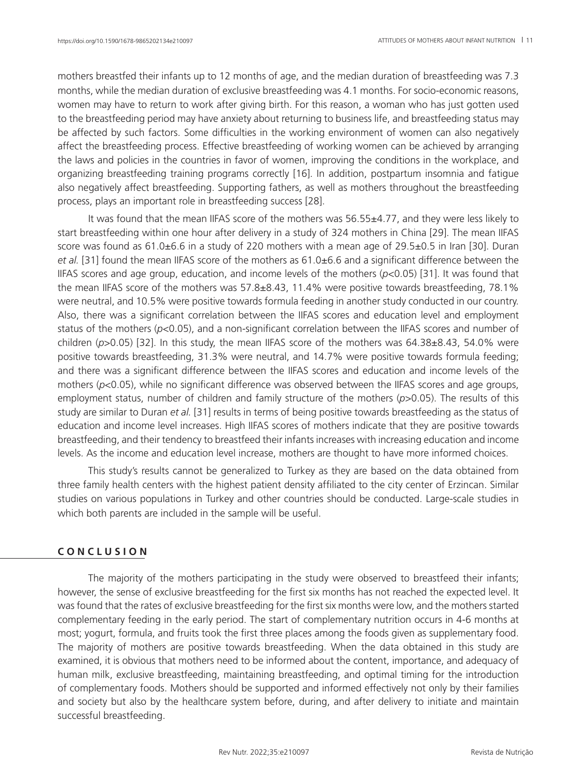mothers breastfed their infants up to 12 months of age, and the median duration of breastfeeding was 7.3 months, while the median duration of exclusive breastfeeding was 4.1 months. For socio-economic reasons, women may have to return to work after giving birth. For this reason, a woman who has just gotten used to the breastfeeding period may have anxiety about returning to business life, and breastfeeding status may be affected by such factors. Some difficulties in the working environment of women can also negatively affect the breastfeeding process. Effective breastfeeding of working women can be achieved by arranging the laws and policies in the countries in favor of women, improving the conditions in the workplace, and organizing breastfeeding training programs correctly [16]. In addition, postpartum insomnia and fatigue also negatively affect breastfeeding. Supporting fathers, as well as mothers throughout the breastfeeding process, plays an important role in breastfeeding success [28].

It was found that the mean IIFAS score of the mothers was 56.55±4.77, and they were less likely to start breastfeeding within one hour after delivery in a study of 324 mothers in China [29]. The mean IIFAS score was found as 61.0±6.6 in a study of 220 mothers with a mean age of 29.5±0.5 in Iran [30]. Duran *et al.* [31] found the mean IIFAS score of the mothers as 61.0±6.6 and a significant difference between the IIFAS scores and age group, education, and income levels of the mothers (*p*<0.05) [31]. It was found that the mean IIFAS score of the mothers was 57.8±8.43, 11.4% were positive towards breastfeeding, 78.1% were neutral, and 10.5% were positive towards formula feeding in another study conducted in our country. Also, there was a significant correlation between the IIFAS scores and education level and employment status of the mothers (*p*<0.05), and a non-significant correlation between the IIFAS scores and number of children (*p*>0.05) [32]. In this study, the mean IIFAS score of the mothers was 64.38±8.43, 54.0% were positive towards breastfeeding, 31.3% were neutral, and 14.7% were positive towards formula feeding; and there was a significant difference between the IIFAS scores and education and income levels of the mothers ( $p$ <0.05), while no significant difference was observed between the IIFAS scores and age groups, employment status, number of children and family structure of the mothers (*p*>0.05). The results of this study are similar to Duran *et al.* [31] results in terms of being positive towards breastfeeding as the status of education and income level increases. High IIFAS scores of mothers indicate that they are positive towards breastfeeding, and their tendency to breastfeed their infants increases with increasing education and income levels. As the income and education level increase, mothers are thought to have more informed choices.

This study's results cannot be generalized to Turkey as they are based on the data obtained from three family health centers with the highest patient density affiliated to the city center of Erzincan. Similar studies on various populations in Turkey and other countries should be conducted. Large-scale studies in which both parents are included in the sample will be useful.

## **C O N C L U S I O N**

The majority of the mothers participating in the study were observed to breastfeed their infants; however, the sense of exclusive breastfeeding for the first six months has not reached the expected level. It was found that the rates of exclusive breastfeeding for the first six months were low, and the mothers started complementary feeding in the early period. The start of complementary nutrition occurs in 4-6 months at most; yogurt, formula, and fruits took the first three places among the foods given as supplementary food. The majority of mothers are positive towards breastfeeding. When the data obtained in this study are examined, it is obvious that mothers need to be informed about the content, importance, and adequacy of human milk, exclusive breastfeeding, maintaining breastfeeding, and optimal timing for the introduction of complementary foods. Mothers should be supported and informed effectively not only by their families and society but also by the healthcare system before, during, and after delivery to initiate and maintain successful breastfeeding.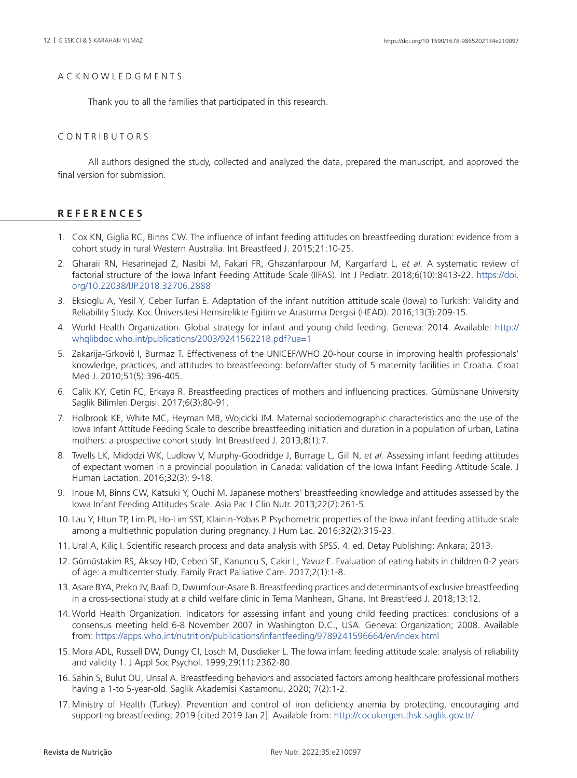## A C K N O W L E D G M E N T S

Thank you to all the families that participated in this research.

### CONTRIBUTORS

All authors designed the study, collected and analyzed the data, prepared the manuscript, and approved the final version for submission.

# **R E F E R E N C E S**

- 1. Cox KN, Giglia RC, Binns CW. The influence of infant feeding attitudes on breastfeeding duration: evidence from a cohort study in rural Western Australia. Int Breastfeed J. 2015;21:10-25.
- 2. Gharaii RN, Hesarinejad Z, Nasibi M, Fakari FR, Ghazanfarpour M, Kargarfard L, *et al.* A systematic review of factorial structure of the Iowa Infant Feeding Attitude Scale (IIFAS). Int J Pediatr. 2018;6(10):8413-22. [https://doi.](https://doi.org/10.22038/IJP.2018.32706.2888) [org/10.22038/IJP.2018.32706.2888](https://doi.org/10.22038/IJP.2018.32706.2888)
- 3. Eksioglu A, Yesil Y, Ceber Turfan E. Adaptation of the infant nutrition attitude scale (Iowa) to Turkish: Validity and Reliability Study. Koc Üniversitesi Hemsirelikte Egitim ve Arastırma Dergisi (HEAD). 2016;13(3):209-15.
- 4. World Health Organization. Global strategy for infant and young child feeding. Geneva: 2014. Available: [http://](http://whqlibdoc.who.int/publications/2003/9241562218.pdf?ua=1) [whqlibdoc.who.int/publications/2003/9241562218.pdf?ua=1](http://whqlibdoc.who.int/publications/2003/9241562218.pdf?ua=1)
- 5. Zakarija-Grković I, Burmaz T. Effectiveness of the UNICEF/WHO 20-hour course in improving health professionals' knowledge, practices, and attitudes to breastfeeding: before/after study of 5 maternity facilities in Croatia. Croat Med J. 2010;51(5):396-405.
- 6. Calik KY, Cetin FC, Erkaya R. Breastfeeding practices of mothers and influencing practices. Gümüshane University Saglik Bilimleri Dergisi. 2017;6(3):80-91.
- 7. Holbrook KE, White MC, Heyman MB, Wojcicki JM. Maternal sociodemographic characteristics and the use of the Iowa Infant Attitude Feeding Scale to describe breastfeeding initiation and duration in a population of urban, Latina mothers: a prospective cohort study. Int Breastfeed J. 2013;8(1):7.
- 8. Twells LK, Midodzi WK, Ludlow V, Murphy-Goodridge J, Burrage L, Gill N, *et al.* Assessing infant feeding attitudes of expectant women in a provincial population in Canada: validation of the Iowa Infant Feeding Attitude Scale. J Human Lactation. 2016;32(3): 9-18.
- 9. Inoue M, Binns CW, Katsuki Y, Ouchi M. Japanese mothers' breastfeeding knowledge and attitudes assessed by the Iowa Infant Feeding Attitudes Scale. Asia Pac J Clin Nutr. 2013;22(2):261-5.
- 10. Lau Y, Htun TP, Lim PI, Ho-Lim SST, Klainin-Yobas P. Psychometric properties of the Iowa infant feeding attitude scale among a multiethnic population during pregnancy. J Hum Lac. 2016;32(2):315-23.
- 11. Ural A, Kiliç I. Scientific research process and data analysis with SPSS. 4. ed. Detay Publishing: Ankara; 2013.
- 12. Gümüstakim RS, Aksoy HD, Cebeci SE, Kanuncu S, Cakir L, Yavuz E. Evaluation of eating habits in children 0-2 years of age: a multicenter study. Family Pract Palliative Care. 2017;2(1):1-8.
- 13. Asare BYA, Preko JV, Baafi D, Dwumfour-Asare B. Breastfeeding practices and determinants of exclusive breastfeeding in a cross-sectional study at a child welfare clinic in Tema Manhean, Ghana. Int Breastfeed J. 2018;13:12.
- 14. World Health Organization. Indicators for assessing infant and young child feeding practices: conclusions of a consensus meeting held 6-8 November 2007 in Washington D.C., USA. Geneva: Organization; 2008. Available from:<https://apps.who.int/nutrition/publications/infantfeeding/9789241596664/en/index.html>
- 15. Mora ADL, Russell DW, Dungy CI, Losch M, Dusdieker L. The Iowa infant feeding attitude scale: analysis of reliability and validity 1. J Appl Soc Psychol. 1999;29(11):2362-80.
- 16. Sahin S, Bulut OU, Unsal A. Breastfeeding behaviors and associated factors among healthcare professional mothers having a 1-to 5-year-old. Saglik Akademisi Kastamonu. 2020; 7(2):1-2.
- 17. Ministry of Health (Turkey). Prevention and control of iron deficiency anemia by protecting, encouraging and supporting breastfeeding; 2019 [cited 2019 Jan 2]. Available from:<http://cocukergen.thsk.saglik.gov.tr/>